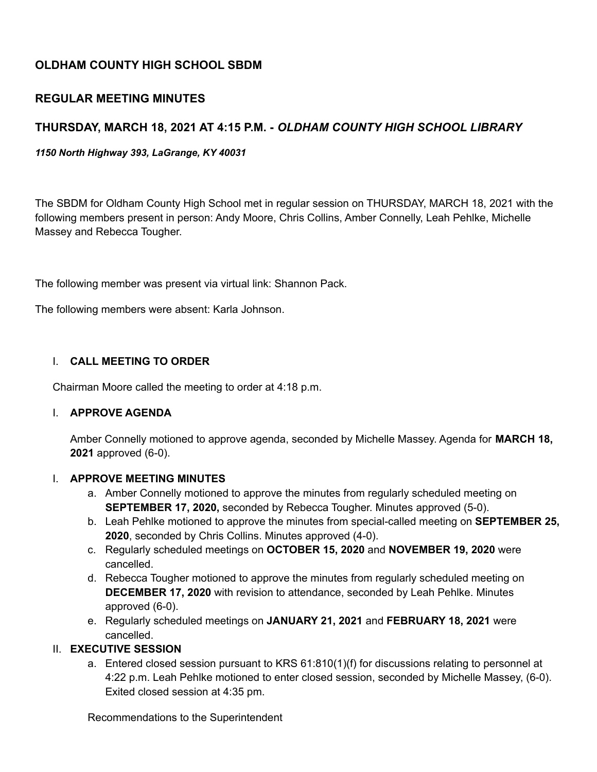# **OLDHAM COUNTY HIGH SCHOOL SBDM**

## **REGULAR MEETING MINUTES**

# **THURSDAY, MARCH 18, 2021 AT 4:15 P.M. -** *OLDHAM COUNTY HIGH SCHOOL LIBRARY*

*1150 North Highway 393, LaGrange, KY 40031*

The SBDM for Oldham County High School met in regular session on THURSDAY, MARCH 18, 2021 with the following members present in person: Andy Moore, Chris Collins, Amber Connelly, Leah Pehlke, Michelle Massey and Rebecca Tougher.

The following member was present via virtual link: Shannon Pack.

The following members were absent: Karla Johnson.

### I. **CALL MEETING TO ORDER**

Chairman Moore called the meeting to order at 4:18 p.m.

#### I. **APPROVE AGENDA**

Amber Connelly motioned to approve agenda, seconded by Michelle Massey. Agenda for **MARCH 18, 2021** approved (6-0).

#### I. **APPROVE MEETING MINUTES**

- a. Amber Connelly motioned to approve the minutes from regularly scheduled meeting on **SEPTEMBER 17, 2020,** seconded by Rebecca Tougher. Minutes approved (5-0).
- b. Leah Pehlke motioned to approve the minutes from special-called meeting on **SEPTEMBER 25, 2020**, seconded by Chris Collins. Minutes approved (4-0).
- c. Regularly scheduled meetings on **OCTOBER 15, 2020** and **NOVEMBER 19, 2020** were cancelled.
- d. Rebecca Tougher motioned to approve the minutes from regularly scheduled meeting on **DECEMBER 17, 2020** with revision to attendance, seconded by Leah Pehlke. Minutes approved (6-0).
- e. Regularly scheduled meetings on **JANUARY 21, 2021** and **FEBRUARY 18, 2021** were cancelled.

## II. **EXECUTIVE SESSION**

a. Entered closed session pursuant to KRS 61:810(1)(f) for discussions relating to personnel at 4:22 p.m. Leah Pehlke motioned to enter closed session, seconded by Michelle Massey, (6-0). Exited closed session at 4:35 pm.

Recommendations to the Superintendent